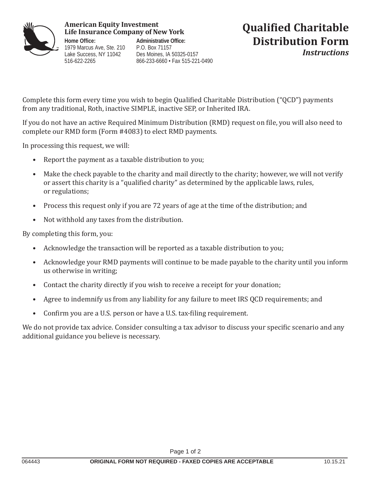

## **American Equity Investment**

**Home Office:** 1979 Marcus Ave, Ste. 210 Lake Success, NY 11042 516-622-2265

**Administrative Office:** P.O. Box 71157 Des Moines, IA 50325-0157 866-233-6660 • Fax 515-221-0490

## **Qualified Charitable Distribution Form** *Instructions*

Complete this form every time you wish to begin Qualified Charitable Distribution ("QCD") payments from any traditional, Roth, inactive SIMPLE, inactive SEP, or Inherited IRA.

If you do not have an active Required Minimum Distribution (RMD) request on file, you will also need to complete our RMD form (Form #4083) to elect RMD payments.

In processing this request, we will:

- Report the payment as a taxable distribution to you;
- Make the check payable to the charity and mail directly to the charity; however, we will not verify or assert this charity is a "qualified charity" as determined by the applicable laws, rules, or regulations;
- Process this request only if you are 72 years of age at the time of the distribution; and
- Not withhold any taxes from the distribution.

By completing this form, you:

- Acknowledge the transaction will be reported as a taxable distribution to you;
- Acknowledge your RMD payments will continue to be made payable to the charity until you inform us otherwise in writing;
- Contact the charity directly if you wish to receive a receipt for your donation;
- Agree to indemnify us from any liability for any failure to meet IRS QCD requirements; and
- Confirm you are a U.S. person or have a U.S. tax-filing requirement.

We do not provide tax advice. Consider consulting a tax advisor to discuss your specific scenario and any additional guidance you believe is necessary.